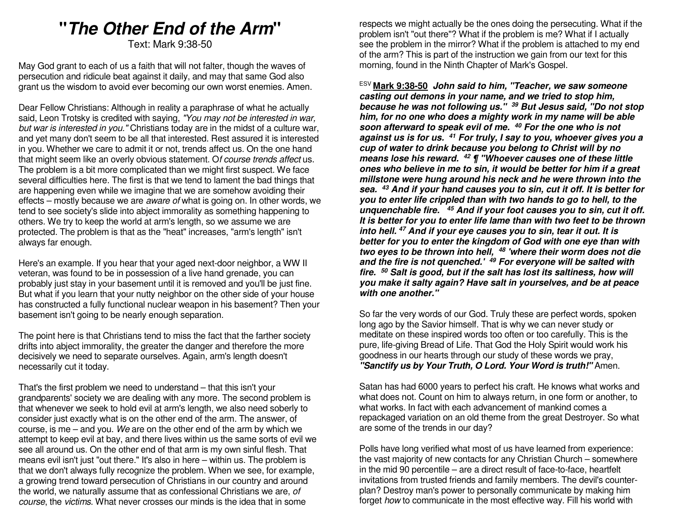# **"The Other End of the Arm"**

Text: Mark 9:38-50

May God grant to each of us a faith that will not falter, though the waves of persecution and ridicule beat against it daily, and may that same God also grant us the wisdom to avoid ever becoming our own worst enemies. Amen.

Dear Fellow Christians: Although in reality a paraphrase of what he actually said, Leon Trotsky is credited with saying, "You may not be interested in war, but war is interested in you." Christians today are in the midst of a culture war, and yet many don't seem to be all that interested. Rest assured it is interested in you. Whether we care to admit it or not, trends affect us. On the one hand that might seem like an overly obvious statement. Of course trends affect us. The problem is a bit more complicated than we might first suspect. We face several difficulties here. The first is that we tend to lament the bad things that are happening even while we imagine that we are somehow avoiding their effects – mostly because we are aware of what is going on. In other words, we tend to see society's slide into abject immorality as something happening to others. We try to keep the world at arm's length, so we assume we are protected. The problem is that as the "heat" increases, "arm's length" isn't always far enough.

Here's an example. If you hear that your aged next-door neighbor, a WW II veteran, was found to be in possession of a live hand grenade, you can probably just stay in your basement until it is removed and you'll be just fine. But what if you learn that your nutty neighbor on the other side of your house has constructed a fully functional nuclear weapon in his basement? Then your basement isn't going to be nearly enough separation.

The point here is that Christians tend to miss the fact that the farther society drifts into abject immorality, the greater the danger and therefore the more decisively we need to separate ourselves. Again, arm's length doesn't necessarily cut it today.

That's the first problem we need to understand – that this isn't your grandparents' society we are dealing with any more. The second problem is that whenever we seek to hold evil at arm's length, we also need soberly to consider just exactly what is on the other end of the arm. The answer, of course, is me – and you. We are on the other end of the arm by which we attempt to keep evil at bay, and there lives within us the same sorts of evil we see all around us. On the other end of that arm is my own sinful flesh. That means evil isn't just "out there." It's also in here – within us. The problem is that we don't always fully recognize the problem. When we see, for example, a growing trend toward persecution of Christians in our country and around the world, we naturally assume that as confessional Christians we are, of course, the victims. What never crosses our minds is the idea that in some

respects we might actually be the ones doing the persecuting. What if the problem isn't "out there"? What if the problem is me? What if I actually see the problem in the mirror? What if the problem is attached to my end of the arm? This is part of the instruction we gain from our text for this morning, found in the Ninth Chapter of Mark's Gospel.

ESV **Mark 9:38-50 John said to him, "Teacher, we saw someone casting out demons in your name, and we tried to stop him, because he was not following us." 39 But Jesus said, "Do not stop him, for no one who does a mighty work in my name will be able soon afterward to speak evil of me. <sup>40</sup> For the one who is not against us is for us. 41 For truly, I say to you, whoever gives you a cup of water to drink because you belong to Christ will by no means lose his reward. <sup>42</sup> ¶ "Whoever causes one of these little ones who believe in me to sin, it would be better for him if a great millstone were hung around his neck and he were thrown into the sea. <sup>43</sup> And if your hand causes you to sin, cut it off. It is better for you to enter life crippled than with two hands to go to hell, to the unquenchable fire. 45 And if your foot causes you to sin, cut it off. It is better for you to enter life lame than with two feet to be thrown into hell. 47 And if your eye causes you to sin, tear it out. It is better for you to enter the kingdom of God with one eye than with two eyes to be thrown into hell, <sup>48</sup> 'where their worm does not die and the fire is not quenched.' 49 For everyone will be salted with fire. <sup>50</sup> Salt is good, but if the salt has lost its saltiness, how will you make it salty again? Have salt in yourselves, and be at peace with one another."** 

So far the very words of our God. Truly these are perfect words, spoken long ago by the Savior himself. That is why we can never study or meditate on these inspired words too often or too carefully. This is the pure, life-giving Bread of Life. That God the Holy Spirit would work his goodness in our hearts through our study of these words we pray, **"Sanctify us by Your Truth, O Lord. Your Word is truth!"** Amen.

Satan has had 6000 years to perfect his craft. He knows what works and what does not. Count on him to always return, in one form or another, to what works. In fact with each advancement of mankind comes a repackaged variation on an old theme from the great Destroyer. So what are some of the trends in our day?

Polls have long verified what most of us have learned from experience: the vast majority of new contacts for any Christian Church – somewhere in the mid 90 percentile – are a direct result of face-to-face, heartfelt invitations from trusted friends and family members. The devil's counterplan? Destroy man's power to personally communicate by making him forget how to communicate in the most effective way. Fill his world with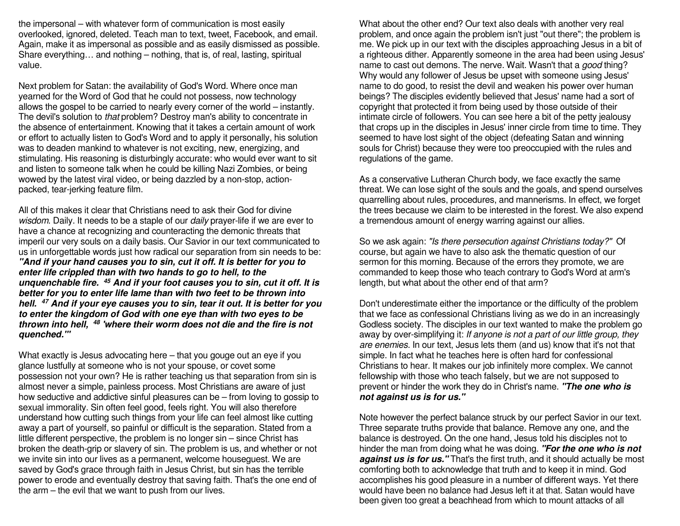the impersonal – with whatever form of communication is most easily overlooked, ignored, deleted. Teach man to text, tweet, Facebook, and email. Again, make it as impersonal as possible and as easily dismissed as possible. Share everything… and nothing – nothing, that is, of real, lasting, spiritual value.

Next problem for Satan: the availability of God's Word. Where once man yearned for the Word of God that he could not possess, now technology allows the gospel to be carried to nearly every corner of the world – instantly. The devil's solution to that problem? Destroy man's ability to concentrate in the absence of entertainment. Knowing that it takes a certain amount of work or effort to actually listen to God's Word and to apply it personally, his solution was to deaden mankind to whatever is not exciting, new, energizing, and stimulating. His reasoning is disturbingly accurate: who would ever want to sit and listen to someone talk when he could be killing Nazi Zombies, or being wowed by the latest viral video, or being dazzled by a non-stop, actionpacked, tear-jerking feature film.

All of this makes it clear that Christians need to ask their God for divine wisdom. Daily. It needs to be a staple of our daily prayer-life if we are ever to have a chance at recognizing and counteracting the demonic threats that imperil our very souls on a daily basis. Our Savior in our text communicated to us in unforgettable words just how radical our separation from sin needs to be: **"And if your hand causes you to sin, cut it off. It is better for you to enter life crippled than with two hands to go to hell, to the unquenchable fire. 45 And if your foot causes you to sin, cut it off. It is better for you to enter life lame than with two feet to be thrown into hell. 47 And if your eye causes you to sin, tear it out. It is better for you to enter the kingdom of God with one eye than with two eyes to be thrown into hell, <sup>48</sup> 'where their worm does not die and the fire is notquenched.'"**

What exactly is Jesus advocating here – that you gouge out an eye if you glance lustfully at someone who is not your spouse, or covet some possession not your own? He is rather teaching us that separation from sin is almost never a simple, painless process. Most Christians are aware of just how seductive and addictive sinful pleasures can be – from loving to gossip to sexual immorality. Sin often feel good, feels right. You will also therefore understand how cutting such things from your life can feel almost like cutting away a part of yourself, so painful or difficult is the separation. Stated from a little different perspective, the problem is no longer sin – since Christ has broken the death-grip or slavery of sin. The problem is us, and whether or not we invite sin into our lives as a permanent, welcome houseguest. We are saved by God's grace through faith in Jesus Christ, but sin has the terrible power to erode and eventually destroy that saving faith. That's the one end of the arm – the evil that we want to push from our lives.

What about the other end? Our text also deals with another very real problem, and once again the problem isn't just "out there"; the problem is me. We pick up in our text with the disciples approaching Jesus in a bit of a righteous dither. Apparently someone in the area had been using Jesus' name to cast out demons. The nerve. Wait. Wasn't that a good thing? Why would any follower of Jesus be upset with someone using Jesus' name to do good, to resist the devil and weaken his power over human beings? The disciples evidently believed that Jesus' name had a sort of copyright that protected it from being used by those outside of their intimate circle of followers. You can see here a bit of the petty jealousy that crops up in the disciples in Jesus' inner circle from time to time. They seemed to have lost sight of the object (defeating Satan and winning souls for Christ) because they were too preoccupied with the rules and regulations of the game.

As a conservative Lutheran Church body, we face exactly the same threat. We can lose sight of the souls and the goals, and spend ourselves quarrelling about rules, procedures, and mannerisms. In effect, we forget the trees because we claim to be interested in the forest. We also expend a tremendous amount of energy warring against our allies.

So we ask again: "Is there persecution against Christians today?" Of course, but again we have to also ask the thematic question of our sermon for this morning. Because of the errors they promote, we are commanded to keep those who teach contrary to God's Word at arm's length, but what about the other end of that arm?

Don't underestimate either the importance or the difficulty of the problem that we face as confessional Christians living as we do in an increasingly Godless society. The disciples in our text wanted to make the problem go away by over-simplifying it: If anyone is not a part of our little group, they are enemies. In our text, Jesus lets them (and us) know that it's not that simple. In fact what he teaches here is often hard for confessional Christians to hear. It makes our job infinitely more complex. We cannot fellowship with those who teach falsely, but we are not supposed to prevent or hinder the work they do in Christ's name. **"The one who is not against us is for us."**

Note however the perfect balance struck by our perfect Savior in our text. Three separate truths provide that balance. Remove any one, and the balance is destroyed. On the one hand, Jesus told his disciples not to hinder the man from doing what he was doing. **"For the one who is not against us is for us."** That's the first truth, and it should actually be most comforting both to acknowledge that truth and to keep it in mind. God accomplishes his good pleasure in a number of different ways. Yet there would have been no balance had Jesus left it at that. Satan would have been given too great a beachhead from which to mount attacks of all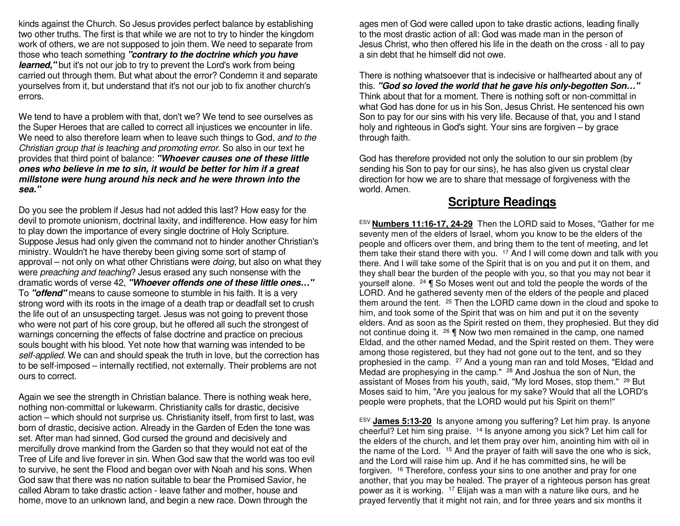kinds against the Church. So Jesus provides perfect balance by establishing two other truths. The first is that while we are not to try to hinder the kingdom work of others, we are not supposed to join them. We need to separate from those who teach something **"contrary to the doctrine which you have learned,** "but it's not our job to try to prevent the Lord's work from being carried out through them. But what about the error? Condemn it and separate yourselves from it, but understand that it's not our job to fix another church's errors.

We tend to have a problem with that, don't we? We tend to see ourselves as the Super Heroes that are called to correct all injustices we encounter in life. We need to also therefore learn when to leave such things to God, and to the Christian group that is teaching and promoting error. So also in our text he provides that third point of balance: **"Whoever causes one of these little ones who believe in me to sin, it would be better for him if a great millstone were hung around his neck and he were thrown into the sea."**

Do you see the problem if Jesus had not added this last? How easy for the devil to promote unionism, doctrinal laxity, and indifference. How easy for him to play down the importance of every single doctrine of Holy Scripture. Suppose Jesus had only given the command not to hinder another Christian's ministry. Wouldn't he have thereby been giving some sort of stamp of approval – not only on what other Christians were *doing*, but also on what they were preaching and teaching? Jesus erased any such nonsense with the dramatic words of verse 42, **"Whoever offends one of these little ones…"**To **"offend"** means to cause someone to stumble in his faith. It is a very strong word with its roots in the image of a death trap or deadfall set to crush the life out of an unsuspecting target. Jesus was not going to prevent those who were not part of his core group, but he offered all such the strongest of warnings concerning the effects of false doctrine and practice on precious souls bought with his blood. Yet note how that warning was intended to be self-applied. We can and should speak the truth in love, but the correction has to be self-imposed – internally rectified, not externally. Their problems are not ours to correct.

Again we see the strength in Christian balance. There is nothing weak here, nothing non-committal or lukewarm. Christianity calls for drastic, decisive action – which should not surprise us. Christianity itself, from first to last, was born of drastic, decisive action. Already in the Garden of Eden the tone was set. After man had sinned, God cursed the ground and decisively and mercifully drove mankind from the Garden so that they would not eat of the Tree of Life and live forever in sin. When God saw that the world was too evil to survive, he sent the Flood and began over with Noah and his sons. When God saw that there was no nation suitable to bear the Promised Savior, he called Abram to take drastic action - leave father and mother, house and home, move to an unknown land, and begin a new race. Down through the

ages men of God were called upon to take drastic actions, leading finally to the most drastic action of all: God was made man in the person of Jesus Christ, who then offered his life in the death on the cross - all to pay a sin debt that he himself did not owe.

There is nothing whatsoever that is indecisive or halfhearted about any of this. **"God so loved the world that he gave his only-begotten Son…"** Think about that for a moment. There is nothing soft or non-committal in what God has done for us in his Son, Jesus Christ. He sentenced his own Son to pay for our sins with his very life. Because of that, you and I stand holy and righteous in God's sight. Your sins are forgiven – by grace through faith.

God has therefore provided not only the solution to our sin problem (by sending his Son to pay for our sins), he has also given us crystal clear direction for how we are to share that message of forgiveness with the world. Amen.

### **Scripture Readings**

ESV **Numbers 11:16-17, 24-29** Then the LORD said to Moses, "Gather for me seventy men of the elders of Israel, whom you know to be the elders of the people and officers over them, and bring them to the tent of meeting, and let them take their stand there with you. <sup>17</sup> And I will come down and talk with you there. And I will take some of the Spirit that is on you and put it on them, and they shall bear the burden of the people with you, so that you may not bear it yourself alone. 24 ¶ So Moses went out and told the people the words of the LORD. And he gathered seventy men of the elders of the people and placed them around the tent. <sup>25</sup> Then the LORD came down in the cloud and spoke to him, and took some of the Spirit that was on him and put it on the seventy elders. And as soon as the Spirit rested on them, they prophesied. But they did not continue doing it. <sup>26</sup> **[** Now two men remained in the camp, one named Eldad, and the other named Medad, and the Spirit rested on them. They were among those registered, but they had not gone out to the tent, and so they prophesied in the camp. <sup>27</sup> And a young man ran and told Moses, "Eldad and Medad are prophesying in the camp." <sup>28</sup> And Joshua the son of Nun, the assistant of Moses from his youth, said, "My lord Moses, stop them." <sup>29</sup> But Moses said to him, "Are you jealous for my sake? Would that all the LORD's people were prophets, that the LORD would put his Spirit on them!"

ESV **James 5:13-20** Is anyone among you suffering? Let him pray. Is anyone cheerful? Let him sing praise. <sup>14</sup> Is anyone among you sick? Let him call for the elders of the church, and let them pray over him, anointing him with oil in the name of the Lord. <sup>15</sup> And the prayer of faith will save the one who is sick, and the Lord will raise him up. And if he has committed sins, he will be forgiven. <sup>16</sup> Therefore, confess your sins to one another and pray for one another, that you may be healed. The prayer of a righteous person has great power as it is working. 17 Elijah was a man with a nature like ours, and he prayed fervently that it might not rain, and for three years and six months it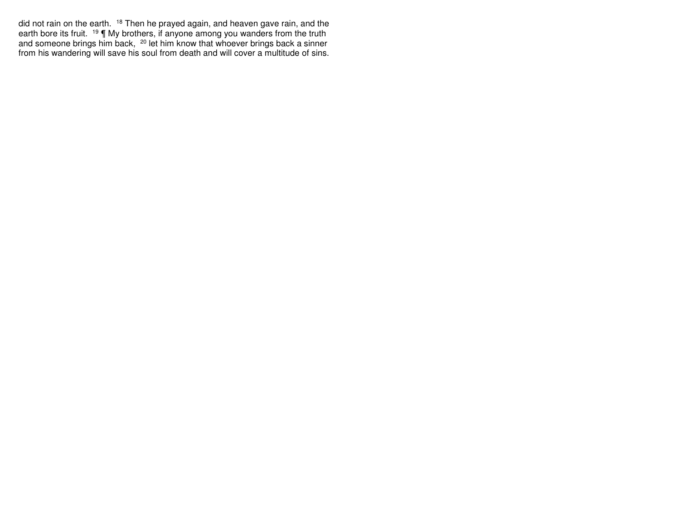did not rain on the earth. <sup>18</sup> Then he prayed again, and heaven gave rain, and the earth bore its fruit. <sup>19</sup>  $\P$  My brothers, if anyone among you wanders from the truth and someone brings him back, <sup>20</sup> let him know tha